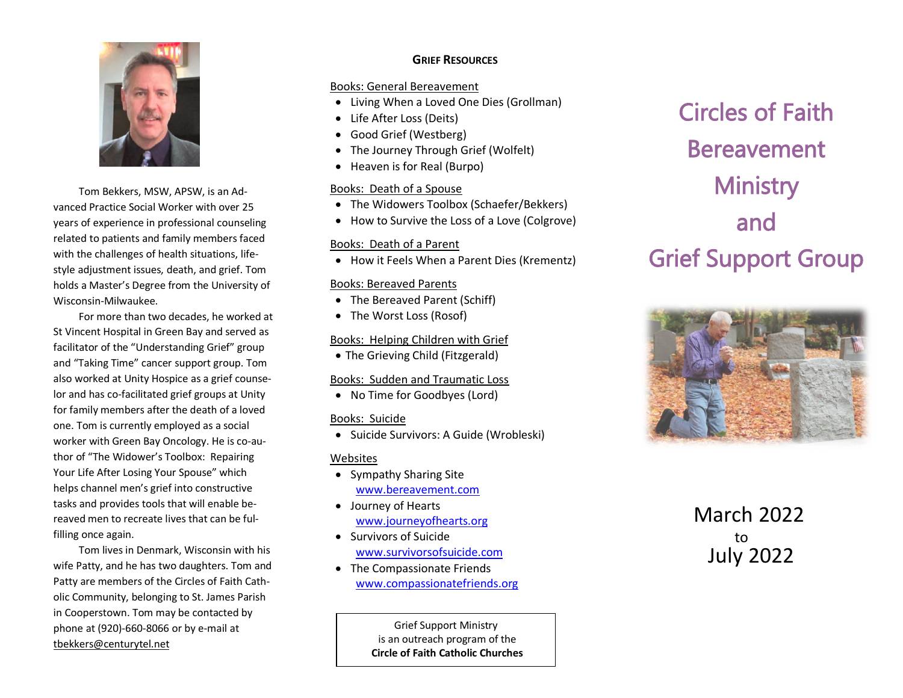

Tom Bekkers, MSW, APSW, is an Advanced Practice Social Worker with over 25 years of experience in professional counseling related to patients and family members faced with the challenges of health situations, lifestyle adjustment issues, death, and grief. Tom holds a Master's Degree from the University of Wisconsin-Milwaukee.

For more than two decades, he worked at St Vincent Hospital in Green Bay and served as facilitator of the "Understanding Grief" group and "Taking Time" cancer support group. Tom also worked at Unity Hospice as a grief counselor and has co-facilitated grief groups at Unity for family members after the death of a loved one. Tom is currently employed as a social worker with Green Bay Oncology. He is co-author of "The Widower's Toolbox: Repairing Your Life After Losing Your Spouse" which helps channel men's grief into constructive tasks and provides tools that will enable bereaved men to recreate lives that can be fulfilling once again.

Tom lives in Denmark, Wisconsin with his wife Patty, and he has two daughters. Tom and Patty are members of the Circles of Faith Catholic Community, belonging to St. James Parish in Cooperstown. Tom may be contacted by phone at (920)-660-8066 or by e-mail at [tbekkers@centurytel.net](mailto:tbekkers@centurytel.net)

## **GRIEF RESOURCES**

### Books: General Bereavement

- Living When a Loved One Dies (Grollman)
- Life After Loss (Deits)
- Good Grief (Westberg)
- The Journey Through Grief (Wolfelt)
- Heaven is for Real (Burpo)

### Books: Death of a Spouse

- The Widowers Toolbox (Schaefer/Bekkers)
- How to Survive the Loss of a Love (Colgrove)

## Books: Death of a Parent

• How it Feels When a Parent Dies (Krementz)

#### Books: Bereaved Parents

- The Bereaved Parent (Schiff)
- The Worst Loss (Rosof)

## Books: Helping Children with Grief

• The Grieving Child (Fitzgerald)

## Books: Sudden and Traumatic Loss

• No Time for Goodbyes (Lord)

## Books: Suicide

• Suicide Survivors: A Guide (Wrobleski)

## **Websites**

- Sympathy Sharing Site [www.bereavement.com](http://www.bereavement.com/)
- Journey of Hearts [www.journeyofhearts.org](http://www.journeyofhearts.org/)
- Survivors of Suicide [www.survivorsofsuicide.com](http://www.survivorsofsuicide.com/)
- The Compassionate Friends [www.compassionatefriends.org](http://www.compassionatefriends.org/)

Grief Support Ministry is an outreach program of the **Circle of Faith Catholic Churches**

# Circles of Faith Bereavement **Ministry** and Grief Support Group



 March 2022 to July 2022